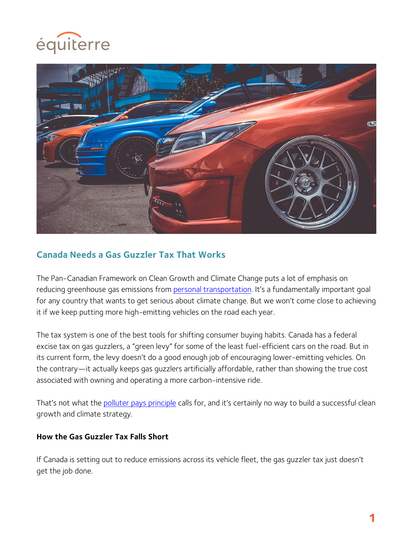



# **Canada Needs a Gas Guzzler Tax That Works**

The Pan-Canadian Framework on Clean Growth and Climate Change puts a lot of emphasis on reducing greenhouse gas emissions from personal transportation. It's a fundamentally important goal for any country that wants to get serious about climate change. But we won't come close to achieving it if we keep putting more high-emitting vehicles on the road each year.

The tax system is one of the best tools for shifting consumer buying habits. Canada has a federal excise tax on gas guzzlers, a "green levy" for some of the least fuel-efficient cars on the road. But in its current form, the levy doesn't do a good enough job of encouraging lower-emitting vehicles. On the contrary—it actually keeps gas guzzlers artificially affordable, rather than showing the true cost associated with owning and operating a more carbon-intensive ride.

That's not what the polluter pays principle calls for, and it's certainly no way to build a successful clean growth and climate strategy.

#### **How the Gas Guzzler Tax Falls Short**

If Canada is setting out to reduce emissions across its vehicle fleet, the gas guzzler tax just doesn't get the job done.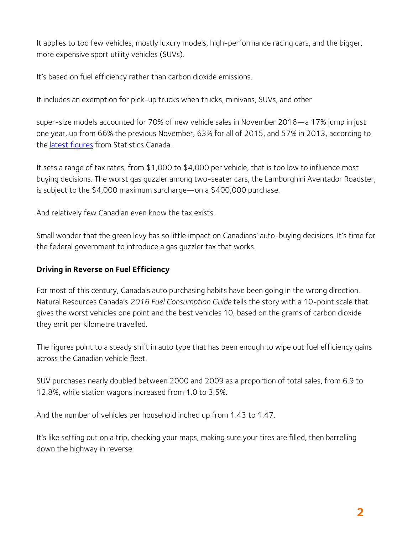It applies to too few vehicles, mostly luxury models, high-performance racing cars, and the bigger, more expensive sport utility vehicles (SUVs).

It's based on fuel efficiency rather than carbon dioxide emissions.

It includes an exemption for pick-up trucks when trucks, minivans, SUVs, and other

super-size models accounted for 70% of new vehicle sales in November 2016—a 17% jump in just one year, up from 66% the previous November, 63% for all of 2015, and 57% in 2013, according to the latest figures from Statistics Canada.

It sets a range of tax rates, from \$1,000 to \$4,000 per vehicle, that is too low to influence most buying decisions. The worst gas guzzler among two-seater cars, the Lamborghini Aventador Roadster, is subject to the \$4,000 maximum surcharge—on a \$400,000 purchase.

And relatively few Canadian even know the tax exists.

Small wonder that the green levy has so little impact on Canadians' auto-buying decisions. It's time for the federal government to introduce a gas guzzler tax that works.

#### **Driving in Reverse on Fuel Efficiency**

For most of this century, Canada's auto purchasing habits have been going in the wrong direction. Natural Resources Canada's *2016 Fuel Consumption Guide* tells the story with a 10-point scale that gives the worst vehicles one point and the best vehicles 10, based on the grams of carbon dioxide they emit per kilometre travelled.

The figures point to a steady shift in auto type that has been enough to wipe out fuel efficiency gains across the Canadian vehicle fleet.

SUV purchases nearly doubled between 2000 and 2009 as a proportion of total sales, from 6.9 to 12.8%, while station wagons increased from 1.0 to 3.5%.

And the number of vehicles per household inched up from 1.43 to 1.47.

It's like setting out on a trip, checking your maps, making sure your tires are filled, then barrelling down the highway in reverse.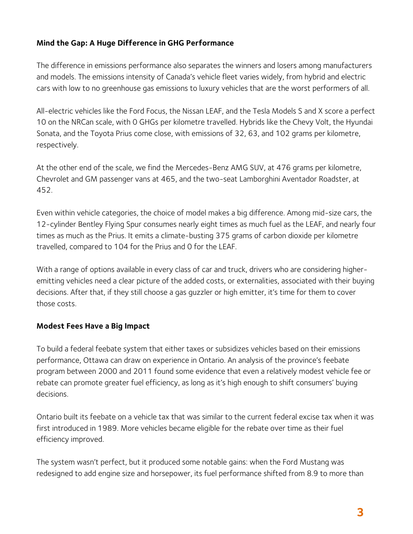## **Mind the Gap: A Huge Difference in GHG Performance**

The difference in emissions performance also separates the winners and losers among manufacturers and models. The emissions intensity of Canada's vehicle fleet varies widely, from hybrid and electric cars with low to no greenhouse gas emissions to luxury vehicles that are the worst performers of all.

All-electric vehicles like the Ford Focus, the Nissan LEAF, and the Tesla Models S and X score a perfect 10 on the NRCan scale, with 0 GHGs per kilometre travelled. Hybrids like the Chevy Volt, the Hyundai Sonata, and the Toyota Prius come close, with emissions of 32, 63, and 102 grams per kilometre, respectively.

At the other end of the scale, we find the Mercedes-Benz AMG SUV, at 476 grams per kilometre, Chevrolet and GM passenger vans at 465, and the two-seat Lamborghini Aventador Roadster, at 452.

Even within vehicle categories, the choice of model makes a big difference. Among mid-size cars, the 12-cylinder Bentley Flying Spur consumes nearly eight times as much fuel as the LEAF, and nearly four times as much as the Prius. It emits a climate-busting 375 grams of carbon dioxide per kilometre travelled, compared to 104 for the Prius and 0 for the LEAF.

With a range of options available in every class of car and truck, drivers who are considering higheremitting vehicles need a clear picture of the added costs, or externalities, associated with their buying decisions. After that, if they still choose a gas guzzler or high emitter, it's time for them to cover those costs.

### **Modest Fees Have a Big Impact**

To build a federal feebate system that either taxes or subsidizes vehicles based on their emissions performance, Ottawa can draw on experience in Ontario. An analysis of the province's feebate program between 2000 and 2011 found some evidence that even a relatively modest vehicle fee or rebate can promote greater fuel efficiency, as long as it's high enough to shift consumers' buying decisions.

Ontario built its feebate on a vehicle tax that was similar to the current federal excise tax when it was first introduced in 1989. More vehicles became eligible for the rebate over time as their fuel efficiency improved.

The system wasn't perfect, but it produced some notable gains: when the Ford Mustang was redesigned to add engine size and horsepower, its fuel performance shifted from 8.9 to more than